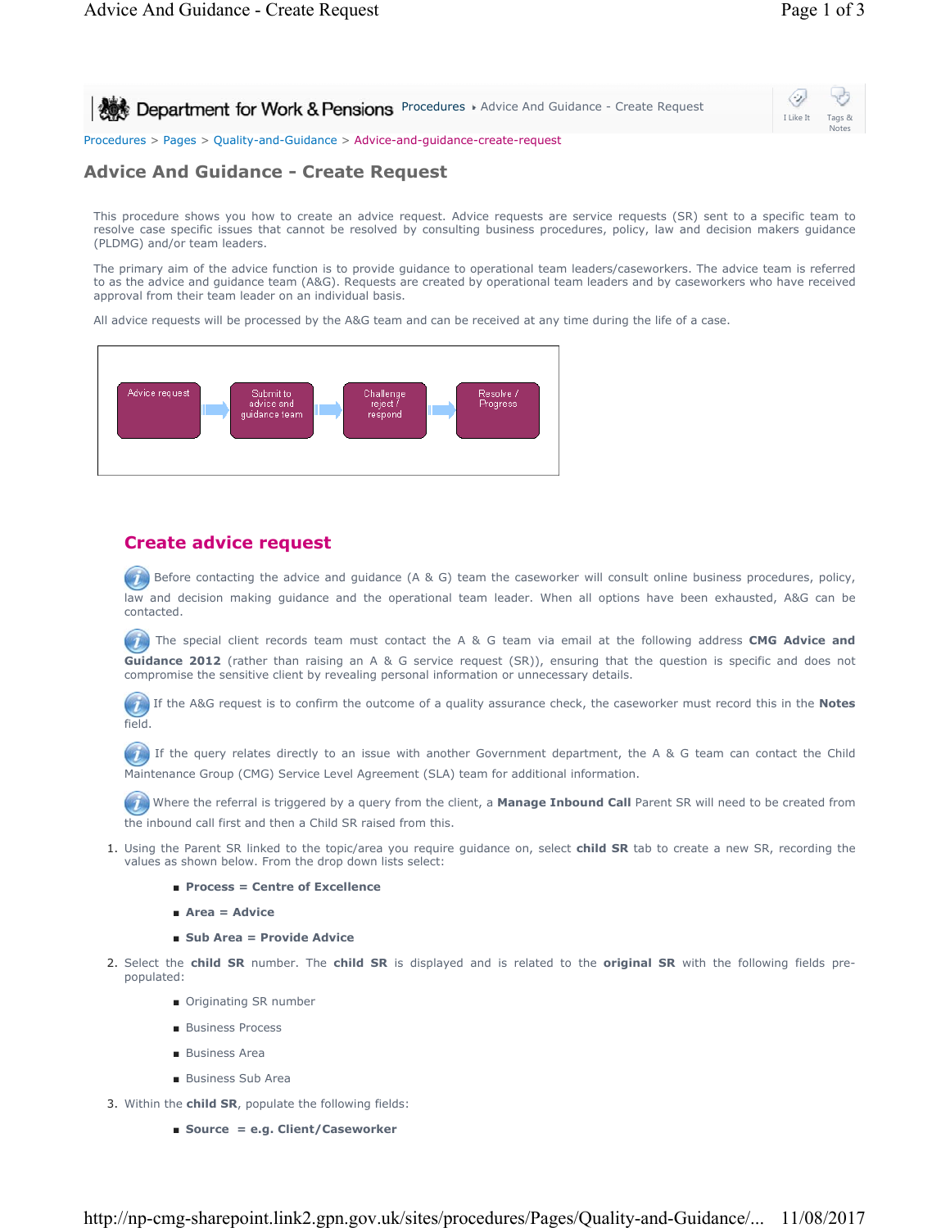Ò, **Procedures Advice And Guidance - Create Request** I Like It Tags & Notes Procedures > Pages > Quality-and-Guidance > Advice-and-guidance-create-request

# **Advice And Guidance - Create Request**

This procedure shows you how to create an advice request. Advice requests are service requests (SR) sent to a specific team to resolve case specific issues that cannot be resolved by consulting business procedures, policy, law and decision makers guidance (PLDMG) and/or team leaders.

The primary aim of the advice function is to provide guidance to operational team leaders/caseworkers. The advice team is referred to as the advice and guidance team (A&G). Requests are created by operational team leaders and by caseworkers who have received approval from their team leader on an individual basis.

All advice requests will be processed by the A&G team and can be received at any time during the life of a case.



## **Create advice request**

Before contacting the advice and guidance (A & G) team the caseworker will consult online business procedures, policy, law and decision making guidance and the operational team leader. When all options have been exhausted, A&G can be contacted.

The special client records team must contact the A & G team via email at the following address **CMG Advice and Guidance 2012** (rather than raising an A & G service request (SR)), ensuring that the question is specific and does not compromise the sensitive client by revealing personal information or unnecessary details.

If the A&G request is to confirm the outcome of a quality assurance check, the caseworker must record this in the **Notes** field.

(1) If the query relates directly to an issue with another Government department, the A & G team can contact the Child Maintenance Group (CMG) Service Level Agreement (SLA) team for additional information.

 Where the referral is triggered by a query from the client, a **Manage Inbound Call** Parent SR will need to be created from the inbound call first and then a Child SR raised from this.

- 1. Using the Parent SR linked to the topic/area you require guidance on, select **child SR** tab to create a new SR, recording the values as shown below. From the drop down lists select:
	- **Process = Centre of Excellence**
	- **Area = Advice**
	- **Sub Area = Provide Advice**
- 2. Select the **child SR** number. The **child SR** is displayed and is related to the **original SR** with the following fields prepopulated:
	- Originating SR number
	- Business Process
	- Business Area
	- Business Sub Area
- 3. Within the **child SR**, populate the following fields:
	- **Source = e.g. Client/Caseworker**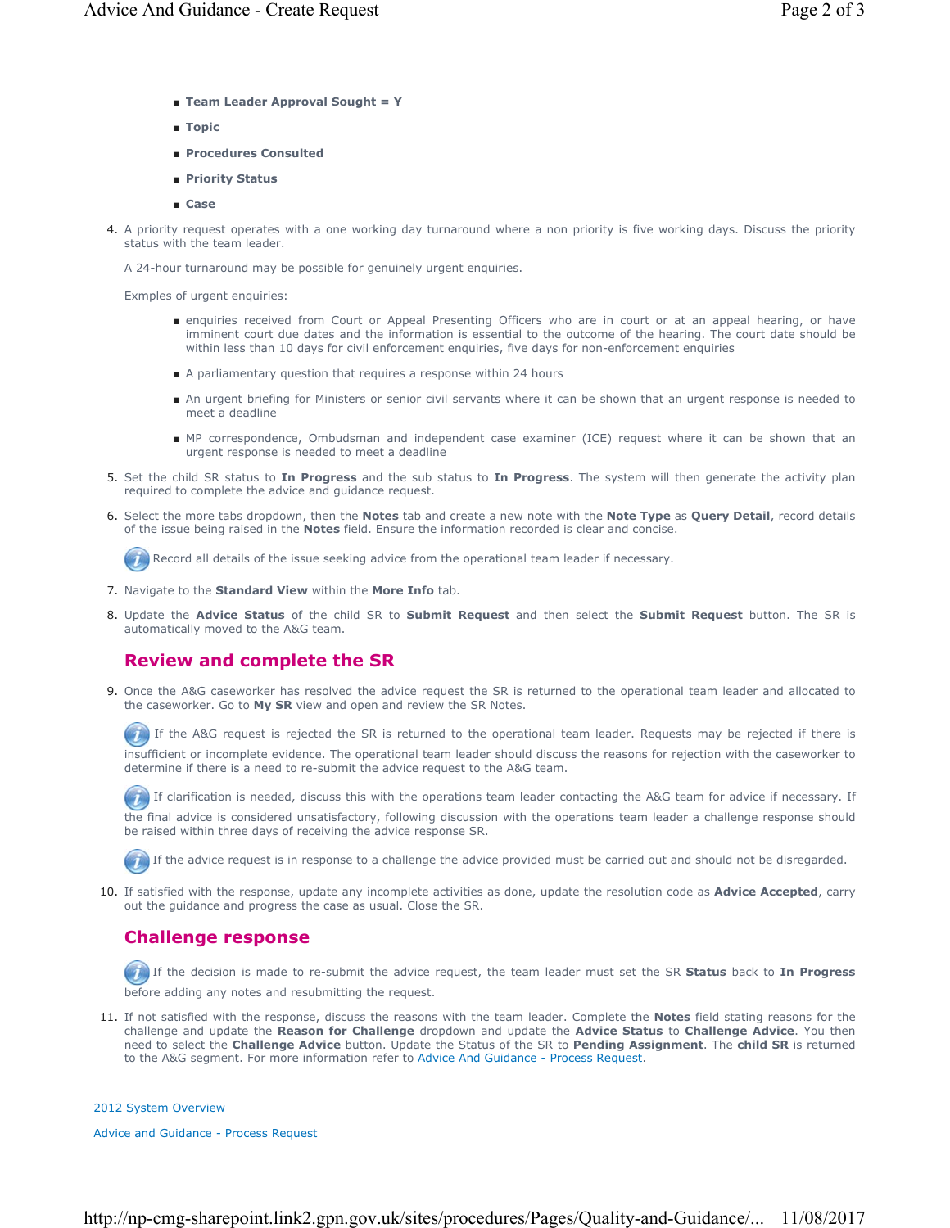- **Team Leader Approval Sought = Y**
- **Topic**
- **Procedures Consulted**
- **Priority Status**
- **Case**
- A priority request operates with a one working day turnaround where a non priority is five working days. Discuss the priority 4. status with the team leader.

A 24-hour turnaround may be possible for genuinely urgent enquiries.

Exmples of urgent enquiries:

- enquiries received from Court or Appeal Presenting Officers who are in court or at an appeal hearing, or have imminent court due dates and the information is essential to the outcome of the hearing. The court date should be within less than 10 days for civil enforcement enquiries, five days for non-enforcement enquiries
- A parliamentary question that requires a response within 24 hours
- An urgent briefing for Ministers or senior civil servants where it can be shown that an urgent response is needed to meet a deadline
- MP correspondence, Ombudsman and independent case examiner (ICE) request where it can be shown that an urgent response is needed to meet a deadline
- 5. Set the child SR status to In Progress and the sub status to In Progress. The system will then generate the activity plan required to complete the advice and guidance request.
- Select the more tabs dropdown, then the **Notes** tab and create a new note with the **Note Type** as **Query Detail**, record details 6. of the issue being raised in the **Notes** field. Ensure the information recorded is clear and concise.

Record all details of the issue seeking advice from the operational team leader if necessary.

- 7. Navigate to the **Standard View** within the **More Info** tab.
- 8. Update the Advice Status of the child SR to Submit Request and then select the Submit Request button. The SR is automatically moved to the A&G team.

### **Review and complete the SR**

9. Once the A&G caseworker has resolved the advice request the SR is returned to the operational team leader and allocated to the caseworker. Go to **My SR** view and open and review the SR Notes.

If the A&G request is rejected the SR is returned to the operational team leader. Requests may be rejected if there is insufficient or incomplete evidence. The operational team leader should discuss the reasons for rejection with the caseworker to determine if there is a need to re-submit the advice request to the A&G team.

If clarification is needed, discuss this with the operations team leader contacting the A&G team for advice if necessary. If the final advice is considered unsatisfactory, following discussion with the operations team leader a challenge response should

be raised within three days of receiving the advice response SR.

If the advice request is in response to a challenge the advice provided must be carried out and should not be disregarded.

10. If satisfied with the response, update any incomplete activities as done, update the resolution code as **Advice Accepted**, carry out the guidance and progress the case as usual. Close the SR.

## **Challenge response**

 If the decision is made to re-submit the advice request, the team leader must set the SR **Status** back to **In Progress** before adding any notes and resubmitting the request.

11. If not satisfied with the response, discuss the reasons with the team leader. Complete the **Notes** field stating reasons for the challenge and update the **Reason for Challenge** dropdown and update the **Advice Status** to **Challenge Advice**. You then need to select the **Challenge Advice** button. Update the Status of the SR to **Pending Assignment**. The **child SR** is returned to the A&G segment. For more information refer to Advice And Guidance - Process Request.

#### 2012 System Overview

Advice and Guidance - Process Request